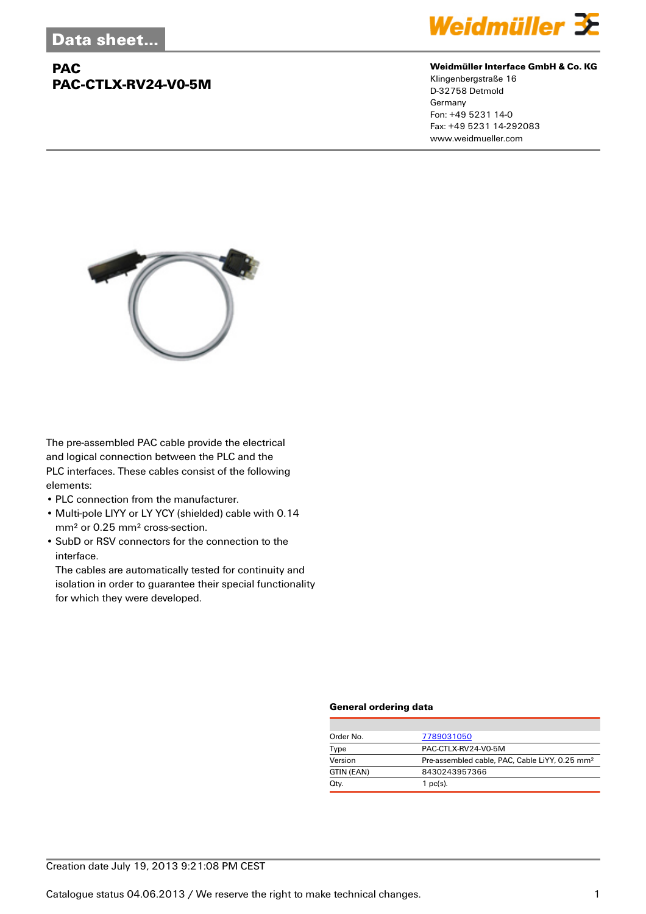## **PAC PAC-CTLX-RV24-V0-5M**



#### **Weidmüller Interface GmbH & Co. KG**

Klingenbergstraße 16 D-32758 Detmold Germany Fon: +49 5231 14-0 Fax: +49 5231 14-292083 www.weidmueller.com



The pre-assembled PAC cable provide the electrical and logical connection between the PLC and the PLC interfaces. These cables consist of the following elements:

- PLC connection from the manufacturer.
- Multi-pole LIYY or LY YCY (shielded) cable with 0.14 mm² or 0.25 mm² cross-section.
- SubD or RSV connectors for the connection to the interface.

The cables are automatically tested for continuity and isolation in order to guarantee their special functionality for which they were developed.

#### **General ordering data**

| Order No.  | 7789031050                                                 |
|------------|------------------------------------------------------------|
| Type       | PAC-CTLX-RV24-V0-5M                                        |
| Version    | Pre-assembled cable, PAC, Cable LiYY, 0.25 mm <sup>2</sup> |
| GTIN (EAN) | 8430243957366                                              |
| Qty.       | $1$ pc(s).                                                 |